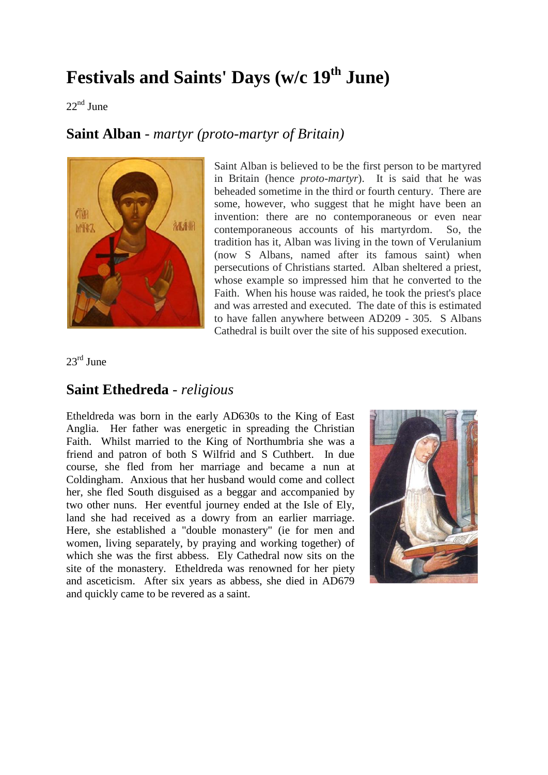## **Festivals and Saints' Days (w/c 19th June)**

 $22<sup>nd</sup>$  June

## **Saint Alban** - *martyr (proto-martyr of Britain)*



Saint Alban is believed to be the first person to be martyred in Britain (hence *proto-martyr*). It is said that he was beheaded sometime in the third or fourth century. There are some, however, who suggest that he might have been an invention: there are no contemporaneous or even near contemporaneous accounts of his martyrdom. So, the tradition has it, Alban was living in the town of Verulanium (now S Albans, named after its famous saint) when persecutions of Christians started. Alban sheltered a priest, whose example so impressed him that he converted to the Faith. When his house was raided, he took the priest's place and was arrested and executed. The date of this is estimated to have fallen anywhere between AD209 - 305. S Albans Cathedral is built over the site of his supposed execution.

23rd June

## **Saint Ethedreda** - *religious*

Etheldreda was born in the early AD630s to the King of East Anglia. Her father was energetic in spreading the Christian Faith. Whilst married to the King of Northumbria she was a friend and patron of both S Wilfrid and S Cuthbert. In due course, she fled from her marriage and became a nun at Coldingham. Anxious that her husband would come and collect her, she fled South disguised as a beggar and accompanied by two other nuns. Her eventful journey ended at the Isle of Ely, land she had received as a dowry from an earlier marriage. Here, she established a "double monastery" (ie for men and women, living separately, by praying and working together) of which she was the first abbess. Ely Cathedral now sits on the site of the monastery. Etheldreda was renowned for her piety and asceticism. After six years as abbess, she died in AD679 and quickly came to be revered as a saint.